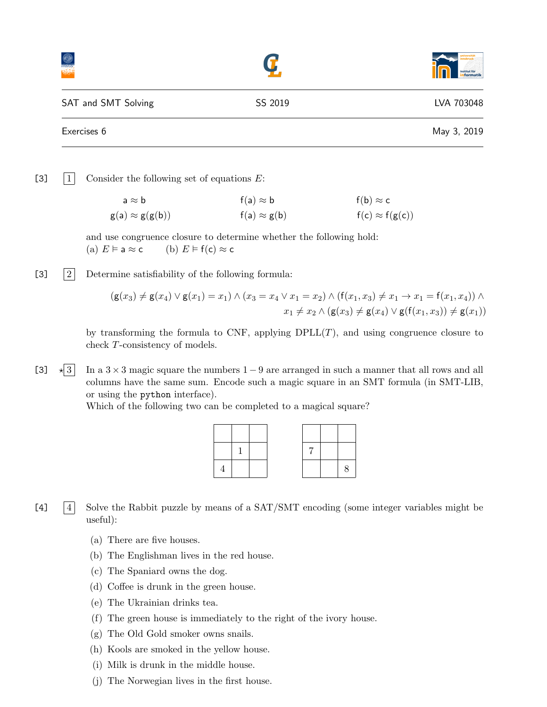|                     |         | institut für<br>informatik |
|---------------------|---------|----------------------------|
| SAT and SMT Solving | SS 2019 | LVA 703048                 |
| Exercises 6         |         | May 3, 2019                |

[3] | 1 Consider the following set of equations  $E$ :

 $a \approx b$  f(a)  $\approx b$  f(b)  $\approx c$  $g(a) \approx g(g(b))$  f(a)  $\approx g(b)$  f(c)  $\approx f(g(c))$ 

and use congruence closure to determine whether the following hold: (a)  $E \models a \approx c$  (b)  $E \models f(c) \approx c$ 

[3]  $|2|$  Determine satisfiability of the following formula:

$$
(g(x_3) \neq g(x_4) \lor g(x_1) = x_1) \land (x_3 = x_4 \lor x_1 = x_2) \land (f(x_1, x_3) \neq x_1 \to x_1 = f(x_1, x_4)) \land x_1 \neq x_2 \land (g(x_3) \neq g(x_4) \lor g(f(x_1, x_3)) \neq g(x_1))
$$

by transforming the formula to CNF, applying  $DPLL(T)$ , and using congruence closure to check T-consistency of models.

 $\lfloor 3 \rfloor$  In a 3 × 3 magic square the numbers 1 – 9 are arranged in such a manner that all rows and all columns have the same sum. Encode such a magic square in an SMT formula (in SMT-LIB, or using the python interface).

Which of the following two can be completed to a magical square?



[4] 4 Solve the Rabbit puzzle by means of a SAT/SMT encoding (some integer variables might be useful):

- (a) There are five houses.
- (b) The Englishman lives in the red house.
- (c) The Spaniard owns the dog.
- (d) Coffee is drunk in the green house.
- (e) The Ukrainian drinks tea.
- (f) The green house is immediately to the right of the ivory house.
- (g) The Old Gold smoker owns snails.
- (h) Kools are smoked in the yellow house.
- (i) Milk is drunk in the middle house.
- (j) The Norwegian lives in the first house.